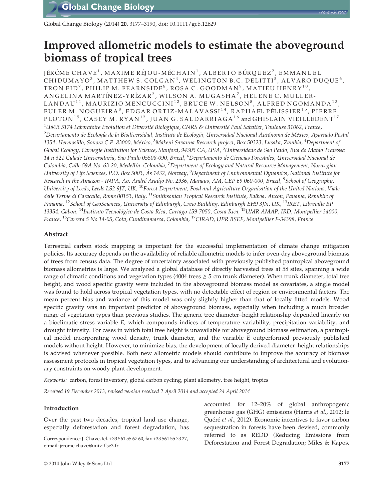Global Change Biology (2014) 20, 3177–3190, doi: 10.1111/gcb.12629

# Improved allometric models to estimate the aboveground biomass of tropical trees

JÉRÔME CHAVE<sup>1</sup>, MAXIME RÉJOU-MÉCHAIN<sup>1</sup>, ALBERTO BÚRQUEZ<sup>2</sup>, EMMANUEL CHIDUMAYO<sup>3</sup>, MATTHEW S. COLGAN<sup>4</sup>, WELINGTON B.C. DELITTI<sup>5</sup>, ALVARO DUQUE<sup>6</sup>, TRON EID<sup>7</sup>, PHILIP M. FEARNSIDE<sup>8</sup>, ROSA C. GOODMAN<sup>9</sup>, MATIEU HENRY<sup>10</sup>, ANGELINA MARTÍNEZ-YRÍZAR<sup>2</sup>, WILSON A. MUGASHA<sup>7</sup>, HELENE C. MULLER-LANDAU<sup>11</sup>, MAURIZIO MENCUCCINI<sup>12</sup>, BRUCE W. NELSON<sup>8</sup>, ALFRED NGOMANDA<sup>13</sup>, EULER M. NOGUEIRA<sup>8</sup>, EDGAR ORTIZ-MALAVASSI<sup>14</sup>, RAPHAËL PÉLISSIER<sup>15</sup>, PIERRE PLOTON<sup>15</sup>, CASEY M. RYAN<sup>12</sup>, JUAN G. SALDARRIAGA<sup>16</sup> and GHISLAIN VIEILLEDENT<sup>17</sup>  $^1$ UMR 5174 Laboratoire Evolution et Diversité Biologique, CNRS & Université Paul Sabatier, Toulouse 31062, France, <sup>2</sup>Departamento de Ecología de la Biodiversidad, Instituto de Ecología, Universidad Nacional Autónoma de México, Apartado Postal 1354, Hermosillo, Sonora C.P. 83000, México, <sup>3</sup>Makeni Savanna Research project, Box 50323, Lusaka, Zambia, <sup>4</sup>Department of Global Ecology, Carnegie Institution for Science, Stanford, 94305 CA, USA, <sup>5</sup>Universidade de São Paulo, Rua do Matão Travessa 14 n 321 Cidade Universitaria, Sao Paulo 05508-090, Brazil, <sup>6</sup>Departamento de Ciencias Forestales, Universidad Nacional de Colombia, Calle 59A No. 63-20, Medellín, Colombia, <sup>7</sup>Department of Ecology and Natural Resource Management, Norwegian University of Life Sciences, P.O. Box 5003, Ås 1432, Norway, <sup>8</sup>Department of Environmental Dynamics, National Institute for Research in the Amazon - INPA, Av. André Araújo No. 2936, Manaus, AM, CEP 69 060-000, Brazil, <sup>9</sup>School of Geography, University of Leeds, Leeds LS2 9JT, UK, <sup>10</sup>Forest Department, Food and Agriculture Organisation of the United Nations, Viale delle Terme di Caracalla, Rome 00153, Italy, <sup>11</sup>Smithsonian Tropical Research Institute, Balboa, Ancon, Panama, Republic of Panama, <sup>12</sup>School of GeoSciences, University of Edinburgh, Crew Building, Edinburgh EH9 3JN, UK, <sup>13</sup>IRET, Libreville BP 13354, Gabon, <sup>14</sup>Instituto Tecnologico de Costa Rica, Cartago 159-7050, Costa Rica, <sup>15</sup>UMR AMAP, IRD, Montpellier 34000, France, <sup>16</sup>Carrera 5 No 14-05, Cota, Cundinamarca, Colombia, <sup>17</sup>CIRAD, UPR BSEF, Montpellier F-34398, France

# Abstract

Terrestrial carbon stock mapping is important for the successful implementation of climate change mitigation policies. Its accuracy depends on the availability of reliable allometric models to infer oven-dry aboveground biomass of trees from census data. The degree of uncertainty associated with previously published pantropical aboveground biomass allometries is large. We analyzed a global database of directly harvested trees at 58 sites, spanning a wide range of climatic conditions and vegetation types (4004 trees  $\geq$  5 cm trunk diameter). When trunk diameter, total tree height, and wood specific gravity were included in the aboveground biomass model as covariates, a single model was found to hold across tropical vegetation types, with no detectable effect of region or environmental factors. The mean percent bias and variance of this model was only slightly higher than that of locally fitted models. Wood specific gravity was an important predictor of aboveground biomass, especially when including a much broader range of vegetation types than previous studies. The generic tree diameter–height relationship depended linearly on a bioclimatic stress variable E, which compounds indices of temperature variability, precipitation variability, and drought intensity. For cases in which total tree height is unavailable for aboveground biomass estimation, a pantropical model incorporating wood density, trunk diameter, and the variable E outperformed previously published models without height. However, to minimize bias, the development of locally derived diameter–height relationships is advised whenever possible. Both new allometric models should contribute to improve the accuracy of biomass assessment protocols in tropical vegetation types, and to advancing our understanding of architectural and evolutionary constraints on woody plant development.

Keywords: carbon, forest inventory, global carbon cycling, plant allometry, tree height, tropics

Received 19 December 2013; revised version received 2 April 2014 and accepted 24 April 2014

# Introduction

Over the past two decades, tropical land-use change, especially deforestation and forest degradation, has

Deforestation and Forest Degradation; Miles & Kapos, Correspondence: J. Chave, tel. +33 561 55 67 60, fax +33 561 55 73 27, e-mail: jerome.chave@univ-tlse3.fr

accounted for 12–20% of global anthropogenic greenhouse gas (GHG) emissions (Harris et al., 2012; le Quéré et al., 2012). Economic incentives to favor carbon sequestration in forests have been devised, commonly referred to as REDD (Reducing Emissions from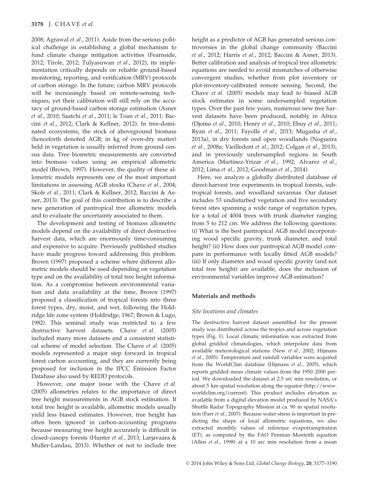2008; Agrawal et al., 2011). Aside from the serious political challenge in establishing a global mechanism to fund climate change mitigation activities (Fearnside, 2012; Tirole, 2012; Tulyasuwan et al., 2012), its implementation critically depends on reliable ground-based monitoring, reporting, and verification (MRV) protocols of carbon storage. In the future, carbon MRV protocols will be increasingly based on remote-sensing techniques, yet their calibration will still rely on the accuracy of ground-based carbon storage estimation (Asner et al., 2010; Saatchi et al., 2011; le Toan et al., 2011; Baccini et al., 2012; Clark & Kellner, 2012). In tree-dominated ecosystems, the stock of aboveground biomass (henceforth denoted AGB; in kg of oven-dry matter) held in vegetation is usually inferred from ground census data. Tree biometric measurements are converted into biomass values using an empirical allometric model (Brown, 1997). However, the quality of these allometric models represents one of the most important limitations in assessing AGB stocks (Chave et al., 2004; Skole et al., 2011; Clark & Kellner, 2012; Baccini & Asner, 2013). The goal of this contribution is to describe a new generation of pantropical tree allometric models and to evaluate the uncertainty associated to them.

The development and testing of biomass allometric models depend on the availability of direct destructive harvest data, which are enormously time-consuming and expensive to acquire. Previously published studies have made progress toward addressing this problem. Brown (1997) proposed a scheme where different allometric models should be used depending on vegetation type and on the availability of total tree height information. As a compromise between environmental variation and data availability at the time, Brown (1997) proposed a classification of tropical forests into three forest types, dry, moist, and wet, following the Holdridge life zone system (Holdridge, 1967; Brown & Lugo, 1982). This seminal study was restricted to a few destructive harvest datasets. Chave et al. (2005) included many more datasets and a consistent statistical scheme of model selection. The Chave et al. (2005) models represented a major step forward in tropical forest carbon accounting, and they are currently being proposed for inclusion in the IPCC Emission Factor Database also used by REDD protocols.

However, one major issue with the Chave et al. (2005) allometries relates to the importance of direct tree height measurements in AGB stock estimation. If total tree height is available, allometric models usually yield less biased estimates. However, tree height has often been ignored in carbon-accounting programs because measuring tree height accurately is difficult in closed-canopy forests (Hunter et al., 2013; Larjavaara & Muller-Landau, 2013). Whether or not to include tree

height as a predictor of AGB has generated serious controversies in the global change community (Baccini et al., 2012; Harris et al., 2012; Baccini & Asner, 2013). Better calibration and analysis of tropical tree allometric equations are needed to avoid mismatches of otherwise convergent studies, whether from plot inventory or plot-inventory-calibrated remote sensing. Second, the Chave et al. (2005) models may lead to biased AGB stock estimates in some undersampled vegetation types. Over the past few years, numerous new tree harvest datasets have been produced, notably in Africa (Djomo et al., 2010; Henry et al., 2010; Ebuy et al., 2011; Ryan et al., 2011; Fayolle et al., 2013; Mugasha et al., 2013a), in dry forests and open woodlands (Nogueira et al., 2008a; Vieilledent et al., 2012; Colgan et al., 2013), and in previously undersampled regions in South America (Martinez-Yrizar et al., 1992; Alvarez et al., 2012; Lima et al., 2012; Goodman et al., 2014).

Here, we analyze a globally distributed database of direct-harvest tree experiments in tropical forests, subtropical forests, and woodland savannas. Our dataset includes 53 undisturbed vegetation and five secondary forest sites spanning a wide range of vegetation types, for a total of 4004 trees with trunk diameter ranging from 5 to 212 cm. We address the following questions: (i) What is the best pantropical AGB model incorporating wood specific gravity, trunk diameter, and total height? (ii) How does our pantropical AGB model compare in performance with locally fitted AGB models? (iii) If only diameter and wood specific gravity (and not total tree height) are available, does the inclusion of environmental variables improve AGB estimation?

# Materials and methods

## Site locations and climates

The destructive harvest dataset assembled for the present study was distributed across the tropics and across vegetation types (Fig. 1). Local climatic information was extracted from global gridded climatologies, which interpolate data from available meteorological stations (New et al., 2002; Hijmans et al., 2005). Temperature and rainfall variables were acquired from the WorldClim database (Hijmans et al., 2005), which reports gridded mean climate values from the 1950–2000 period. We downloaded the dataset at 2.5 arc min resolution, or about 5 km spatial resolution along the equator (http://www. worldclim.org/current). This product includes elevation as available from a digital elevation model produced by NASA's Shuttle Radar Topography Mission at ca. 90 m spatial resolution (Farr et al., 2007). Because water stress is important in predicting the shape of local allometric equations, we also extracted monthly values of reference evapotranspiration (ET), as computed by the FAO Penman–Monteith equation (Allen et al., 1998) at a 10 arc min resolution from a mean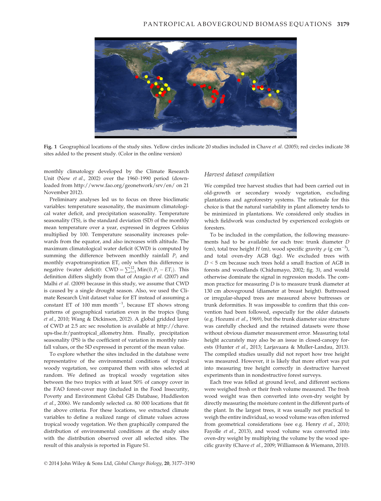

Fig. 1 Geographical locations of the study sites. Yellow circles indicate 20 studies included in Chave et al. (2005); red circles indicate 38 sites added to the present study. (Color in the online version)

monthly climatology developed by the Climate Research Unit (New et al., 2002) over the 1960–1990 period (downloaded from http://www.fao.org/geonetwork/srv/en/ on 21 November 2012).

Preliminary analyses led us to focus on three bioclimatic variables: temperature seasonality, the maximum climatological water deficit, and precipitation seasonality. Temperature seasonality (TS), is the standard deviation (SD) of the monthly mean temperature over a year, expressed in degrees Celsius multiplied by 100. Temperature seasonality increases polewards from the equator, and also increases with altitude. The maximum climatological water deficit (CWD) is computed by summing the difference between monthly rainfall  $P_i$  and monthly evapotranspiration  $ET_i$  only when this difference is negative (water deficit):  $\text{CWD} = \sum_{i=1}^{12} \text{Min}(0, P_i - ET_i)$ . This definition differs slightly from that of Aragão et al. (2007) and Malhi et al. (2009) because in this study, we assume that CWD is caused by a single drought season. Also, we used the Climate Research Unit dataset value for ET instead of assuming a constant ET of  $100 \text{ mm month}^{-1}$ , because ET shows strong patterns of geographical variation even in the tropics (Jung et al., 2010; Wang & Dickinson, 2012). A global gridded layer of CWD at 2.5 arc sec resolution is available at http://chave. ups-tlse.fr/pantropical\_allometry.htm. Finally, precipitation seasonality (PS) is the coefficient of variation in monthly rainfall values, or the SD expressed in percent of the mean value.

To explore whether the sites included in the database were representative of the environmental conditions of tropical woody vegetation, we compared them with sites selected at random. We defined as tropical woody vegetation sites between the two tropics with at least 50% of canopy cover in the FAO forest-cover map (included in the Food Insecurity, Poverty and Environment Global GIS Database, Huddleston et al., 2006). We randomly selected ca. 80 000 locations that fit the above criteria. For these locations, we extracted climate variables to define a realized range of climate values across tropical woody vegetation. We then graphically compared the distribution of environmental conditions at the study sites with the distribution observed over all selected sites. The result of this analysis is reported in Figure S1.

#### Harvest dataset compilation

We compiled tree harvest studies that had been carried out in old-growth or secondary woody vegetation, excluding plantations and agroforestry systems. The rationale for this choice is that the natural variability in plant allometry tends to be minimized in plantations. We considered only studies in which fieldwork was conducted by experienced ecologists or foresters.

To be included in the compilation, the following measurements had to be available for each tree: trunk diameter D (cm), total tree height  $H$  (m), wood specific gravity  $\rho$  (g cm<sup>-3</sup>), and total oven-dry AGB (kg). We excluded trees with  $D < 5$  cm because such trees hold a small fraction of AGB in forests and woodlands (Chidumayo, 2002; fig. 3), and would otherwise dominate the signal in regression models. The common practice for measuring  $D$  is to measure trunk diameter at 130 cm aboveground (diameter at breast height). Buttressed or irregular-shaped trees are measured above buttresses or trunk deformities. It was impossible to confirm that this convention had been followed, especially for the older datasets (e.g. Hozumi et al., 1969), but the trunk diameter size structure was carefully checked and the retained datasets were those without obvious diameter measurement error. Measuring total height accurately may also be an issue in closed-canopy forests (Hunter et al., 2013; Larjavaara & Muller-Landau, 2013). The compiled studies usually did not report how tree height was measured. However, it is likely that more effort was put into measuring tree height correctly in destructive harvest experiments than in nondestructive forest surveys.

Each tree was felled at ground level, and different sections were weighed fresh or their fresh volume measured. The fresh wood weight was then converted into oven-dry weight by directly measuring the moisture content in the different parts of the plant. In the largest trees, it was usually not practical to weigh the entire individual, so wood volume was often inferred from geometrical considerations (see e.g. Henry et al., 2010; Fayolle et al., 2013), and wood volume was converted into oven-dry weight by multiplying the volume by the wood specific gravity (Chave et al., 2009; Williamson & Wiemann, 2010).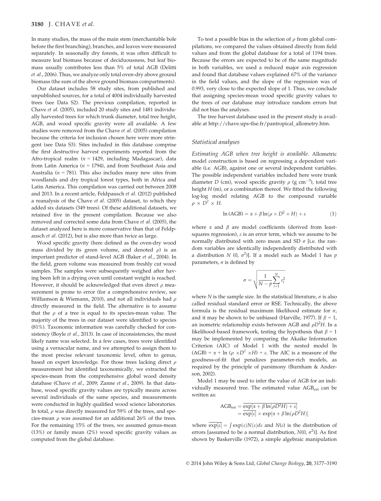In many studies, the mass of the main stem (merchantable bole before the first branching), branches, and leaves were measured separately. In seasonally dry forests, it was often difficult to measure leaf biomass because of deciduousness, but leaf biomass usually contributes less than 5% of total AGB (Delitti et al., 2006). Thus, we analyze only total oven-dry above ground biomass (the sum of the above ground biomass compartments).

Our dataset includes 58 study sites, from published and unpublished sources, for a total of 4004 individually harvested trees (see Data S2). The previous compilation, reported in Chave et al. (2005), included 20 study sites and 1481 individually harvested trees for which trunk diameter, total tree height, AGB, and wood specific gravity were all available. A few studies were removed from the Chave et al. (2005) compilation because the criteria for inclusion chosen here were more stringent (see Data S3). Sites included in this database comprise the first destructive harvest experiments reported from the Afro-tropical realm ( $n = 1429$ , including Madagascar), data from Latin America ( $n = 1794$ ), and from Southeast Asia and Australia ( $n = 781$ ). This also includes many new sites from woodlands and dry tropical forest types, both in Africa and Latin America. This compilation was carried out between 2008 and 2013. In a recent article, Feldpausch et al. (2012) published a reanalysis of the Chave et al. (2005) dataset, to which they added six datasets (349 trees). Of these additional datasets, we retained five in the present compilation. Because we also removed and corrected some data from Chave et al. (2005), the dataset analyzed here is more conservative than that of Feldpausch et al. (2012), but is also more than twice as large.

Wood specific gravity (here defined as the oven-dry wood mass divided by its green volume, and denoted  $\rho$ ) is an important predictor of stand-level AGB (Baker et al., 2004). In the field, green volume was measured from freshly cut wood samples. The samples were subsequently weighed after having been left in a drying oven until constant weight is reached. However, it should be acknowledged that even direct  $\rho$  measurement is prone to error (for a comprehensive review, see Williamson & Wiemann, 2010), and not all individuals had  $\rho$ directly measured in the field. The alternative is to assume that the  $\rho$  of a tree is equal to its species-mean value. The majority of the trees in our dataset were identified to species (81%). Taxonomic information was carefully checked for consistency (Boyle et al., 2013). In case of inconsistencies, the most likely name was selected. In a few cases, trees were identified using a vernacular name, and we attempted to assign them to the most precise relevant taxonomic level, often to genus, based on expert knowledge. For those trees lacking direct  $\rho$ measurement but identified taxonomically, we extracted the species-mean from the comprehensive global wood density database (Chave et al., 2009; Zanne et al., 2009). In that database, wood specific gravity values are typically means across several individuals of the same species, and measurements were conducted in highly qualified wood science laboratories. In total,  $\rho$  was directly measured for 59% of the trees, and species-mean  $\rho$  was assumed for an additional 26% of the trees. For the remaining 15% of the trees, we assumed genus-mean (13%) or family mean (2%) wood specific gravity values as computed from the global database.

To test a possible bias in the selection of  $\rho$  from global compilations, we compared the values obtained directly from field values and from the global database for a total of 1194 trees. Because the errors are expected to be of the same magnitude in both variables, we used a reduced major axis regression and found that database values explained 67% of the variance in the field values, and the slope of the regression was of 0.993, very close to the expected slope of 1. Thus, we conclude that assigning species-mean wood specific gravity values to the trees of our database may introduce random errors but did not bias the analyses.

The tree harvest database used in the present study is available at http://chave.ups-tlse.fr/pantropical\_allometry.htm.

## Statistical analyses

Estimating AGB when tree height is available. Allometric model construction is based on regressing a dependent variable (i.e. AGB), against one or several independent variables. The possible independent variables included here were trunk diameter D (cm), wood specific gravity  $\rho$  (g cm<sup>-3</sup>), total tree height  $H$  (m), or a combination thereof. We fitted the following log-log model relating AGB to the compound variable  $\rho \times D^2 \times H$ .

$$
\ln(\text{AGB}) = \alpha + \beta \ln(\rho \times D^2 \times H) + \varepsilon \tag{1}
$$

where  $\alpha$  and  $\beta$  are model coefficients (derived from leastsquares regression),  $\varepsilon$  is an error term, which we assume to be normally distributed with zero mean and SD  $\sigma$  [i.e. the random variables are identically independently distributed with a distribution N (0,  $\sigma^2$ )]. If a model such as Model 1 has p parameters,  $\sigma$  is defined by

$$
\sigma = \sqrt{\frac{1}{N-p} \sum_{i=1}^{N} \varepsilon_i^2}
$$

where N is the sample size. In the statistical literature,  $\sigma$  is also called residual standard error or RSE. Technically, the above formula is the residual maximum likelihood estimate for  $\sigma$ , and it may be shown to be unbiased (Harville, 1977). If  $\beta = 1$ , an isometric relationship exists between AGB and  $\rho D^2H$ . In a likelihood-based framework, testing the hypothesis that  $\beta = 1$ may be implemented by comparing the Akaike Information Criterion (AIC) of Model 1 with the nested model ln  $(AGB) = \alpha + \ln (\rho \times D^2 \times H) + \varepsilon$ . The AIC is a measure of the goodness-of-fit that penalizes parameter-rich models, as required by the principle of parsimony (Burnham & Anderson, 2002).

Model 1 may be used to infer the value of AGB for an individually measured tree. The estimated value AGB<sub>est</sub> can be written as:

$$
\begin{aligned} \text{AGB}_{\text{est}} &= \overline{\frac{\exp[\alpha + \beta \ln(\rho D^2 H) + \varepsilon]}{\exp[\varepsilon]}} \\ &= \overline{\exp[\varepsilon]} \times \exp[\alpha + \beta \ln(\rho D^2 H)] \end{aligned}
$$

where  $\exp[\varepsilon] = \int \exp(\varepsilon) N(\varepsilon) d\varepsilon$  and  $N(\varepsilon)$  is the distribution of errors [assumed to be a normal distribution,  $N(0, \sigma^2)$ ]. As first shown by Baskerville (1972), a simple algebraic manipulation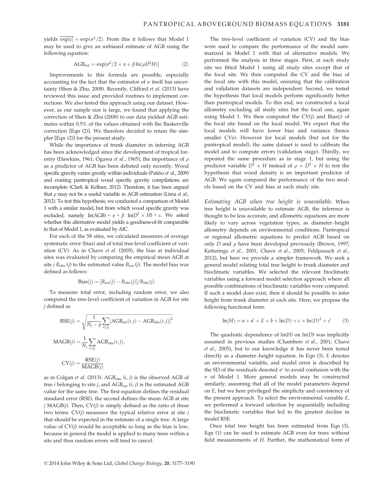yields  $\overline{\exp[\varepsilon]} = \exp(\sigma^2/2)$ . From this it follows that Model 1 may be used to give an unbiased estimate of AGB using the following equation:

$$
AGB_{est} = \exp[\sigma^2/2 + \alpha + \beta \ln(\rho D^2 H)]
$$
 (2)

Improvements to this formula are possible, especially accounting for the fact that the estimator of  $\sigma$  itself has uncertainty (Shen & Zhu, 2008). Recently, Clifford et al. (2013) have reviewed this issue and provided routines to implement corrections. We also tested this approach using our dataset. However, as our sample size is large, we found that applying the correction of Shen & Zhu (2008) to our data yielded AGB estimates within 0.5% of the values obtained with the Baskerville correction [Eqn (2)]. We therefore decided to retain the simpler [Eqn (2)] for the present study.

While the importance of trunk diameter in inferring AGB has been acknowledged since the development of tropical forestry (Dawkins, 1961; Ogawa et al., 1965), the importance of  $\rho$ as a predictor of AGB has been debated only recently. Wood specific gravity varies greatly within individuals (Patiño et al., 2009) and existing pantropical wood specific gravity compilations are incomplete (Clark & Kellner, 2012). Therefore, it has been argued that  $\rho$  may not be a useful variable in AGB estimation (Lima et al., 2012). To test this hypothesis, we conducted a comparison of Model 1 with a similar model, but from which wood specific gravity was excluded, namely  $ln(AGB) = \alpha + \beta ln(D^2 \times H) + \varepsilon$ . We asked whether this alternative model yields a goodness-of-fit comparable to that of Model 1, as evaluated by AIC.

For each of the 58 sites, we calculated measures of average systematic error (bias) and of total tree-level coefficient of variation (CV). As in Chave et al. (2005), the bias at individual sites was evaluated by comparing the empirical mean AGB at site *j*  $B_{obs}$  (*j*) to the estimated value  $B_{est}$  (*j*). The model bias was defined as follows:

$$
Bias(j) = [B_{est}(j) - B_{obs}(j)]/B_{obs}(j)
$$

To measure total error, including random error, we also computed the tree-level coefficient of variation in AGB for site j defined as

$$
RSE(j) = \sqrt{\frac{1}{N_j - p} \sum_{i \in [j]} [AGB_{est}(i, j) - AGB_{obs}(i, j)]^2}
$$
  
 
$$
MAGB(j) = \frac{1}{N_j} \sum_{i \in [j]} AGB_{obs}(i, j),
$$
  
 
$$
CV(j) = \frac{RSE(j)}{MAGB(j)}
$$

as in Colgan et al. (2013).  $\text{AGB}_{\text{obs}}$   $(i, j)$  is the observed AGB of tree *i* belonging to site *j*, and  $AGB_{est}$  (*i*, *j*) is the estimated  $AGB$ value for the same tree. The first equation defines the residual standard error (RSE), the second defines the mean AGB at site  $j$  MAGB( $j$ ). Then, CV( $j$ ) is simply defined as the ratio of these two terms.  $CV(j)$  measures the typical relative error at site  $j$ that should be expected in the estimate of a single tree. A large value of  $CV(j)$  would be acceptable so long as the bias is low, because in general the model is applied to many trees within a site and thus random errors will tend to cancel.

The tree-level coefficient of variation (CV) and the bias were used to compare the performance of the model summarized in Model 1 with that of alternative models. We performed the analysis in three stages. First, at each study site we fitted Model 1 using all study sites except that of the focal site. We then computed the CV and the bias of the focal site with this model, ensuring that the calibration and validation datasets are independent. Second, we tested the hypothesis that local models perform significantly better than pantropical models. To this end, we constructed a local allometry excluding all study sites but the focal one, again using Model 1. We then computed the  $CV(j)$  and Bias $(j)$  of the focal site based on the local model. We expect that the local models will have lower bias and variance (hence smaller CVs). However for local models (but not for the pantropical model), the same dataset is used to calibrate the model and to compute errors (validation stage). Thirdly, we repeated the same procedure as in stage 1, but using the predictor variable  $D^2 \times H$  instead of  $\rho \times D^2 \times H$  to test the hypothesis that wood density is an important predictor of AGB. We again compared the performance of the two models based on the CV and bias at each study site.

Estimating AGB when tree height is unavailable. When tree height is unavailable to estimate AGB, the inference is thought to be less accurate, and allometric equations are more likely to vary across vegetation types, as diameter–height allometry depends on environmental conditions. Pantropical or regional allometric equations to predict AGB based on only  $D$  and  $\rho$  have been developed previously (Brown, 1997; Ketterings et al., 2001; Chave et al., 2005; Feldpausch et al., 2012), but here we provide a simpler framework. We seek a general model relating total tree height to trunk diameter and bioclimatic variables. We selected the relevant bioclimatic variables using a forward model selection approach where all possible combinations of bioclimatic variables were compared. If such a model does exist, then it should be possible to infer height from trunk diameter at each site. Here, we propose the following functional form:

$$
\ln(H) = a + a' \times E + b \times \ln(D) + c \times \ln(D)^{2} + \varepsilon'
$$
 (3)

The quadratic dependence of  $ln(H)$  on  $ln(D)$  was implicitly assumed in previous studies (Chambers et al., 2001; Chave et al., 2005), but to our knowledge it has never been tested directly as a diameter–height equation. In Eqn (3), E denotes an environmental variable, and model error is described by the SD of the residuals denoted  $\sigma'$  to avoid confusion with the  $\sigma$  of Model 1. More general models may be constructed similarly, assuming that all of the model parameters depend on E, but we here privileged the simplicity and consistency of the present approach. To select the environmental variable E, we performed a forward selection by sequentially including the bioclimatic variables that led to the greatest decline in model RSE.

Once total tree height has been estimated from Eqn (3), Eqn (1) can be used to estimate AGB even for trees without field measurements of H. Further, the mathematical form of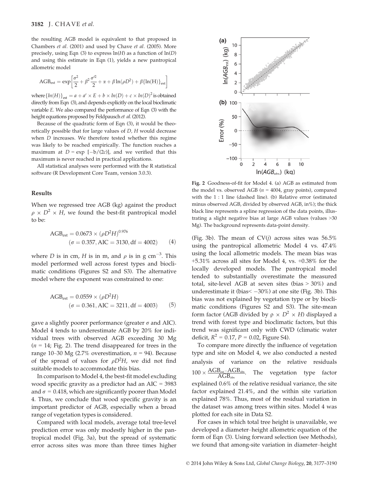the resulting AGB model is equivalent to that proposed in Chambers et al. (2001) and used by Chave et al. (2005). More precisely, using Eqn (3) to express  $ln(H)$  as a function of  $ln(D)$ and using this estimate in Eqn (1), yields a new pantropical allometric model

$$
AGB_{est} = exp\left[\frac{\sigma^2}{2} + \beta^2 \frac{\sigma'^2}{2} + \alpha + \beta \ln(\rho D^2) + \beta \{ln(H)\}_{est}\right]
$$

where  $\{ln(H)\}_{\text{est}} = a + a' \times E + b \times ln(D) + c \times ln(D)^2$  is obtained<br>directly from Eqn. (3) and depends explicitly on the local bioclimatic directly from Eqn (3), and depends explicitly on the local bioclimatic variable E. We also compared the performance of Eqn (3) with the height equations proposed by Feldpausch et al.(2012).

Because of the quadratic form of Eqn (3), it would be theoretically possible that for large values of D, H would decrease when D increases. We therefore tested whether this regime was likely to be reached empirically. The function reaches a maximum at  $D = \exp[-b/(2c)]$ , and we verified that this maximum is nower reached in practical applications. maximum is never reached in practical applications.

All statistical analyses were performed with the R statistical software (R Development Core Team, version 3.0.3).

#### Results

When we regressed tree AGB (kg) against the product  $\rho \times D^2 \times H$ , we found the best-fit pantropical model to be:

$$
AGB_{est} = 0.0673 \times (\rho D^2 H)^{0.976}
$$
  
( $\sigma$  = 0.357, AIC = 3130, df = 4002) (4)

where *D* is in cm, *H* is in m, and  $\rho$  is in g cm<sup>-3</sup>. This model performed well across forest types and bioclimatic conditions (Figures S2 and S3). The alternative model where the exponent was constrained to one:

$$
AGB_{est} = 0.0559 \times (\rho D^2 H)
$$
  
( $\sigma = 0.361$ , AIC = 3211, df = 4003) (5)

gave a slightly poorer performance (greater  $\sigma$  and AIC). Model 4 tends to underestimate AGB by 20% for individual trees with observed AGB exceeding 30 Mg  $(n = 14; Fig. 2)$ . The trend disappeared for trees in the range 10–30 Mg (2.7% overestimation,  $n = 94$ ). Because of the spread of values for  $\rho D^2H$ , we did not find suitable models to accommodate this bias.

In comparison to Model 4, the best-fit model excluding wood specific gravity as a predictor had an AIC = 3983 and  $\sigma$  = 0.418, which are significantly poorer than Model 4. Thus, we conclude that wood specific gravity is an important predictor of AGB, especially when a broad range of vegetation types is considered.

Compared with local models, average total tree-level prediction error was only modestly higher in the pantropical model (Fig. 3a), but the spread of systematic error across sites was more than three times higher



Fig. 2 Goodness-of-fit for Model 4. (a) AGB as estimated from the model vs. observed AGB ( $n = 4004$ , gray points), compared with the 1 : 1 line (dashed line). (b) Relative error (estimated minus observed AGB, divided by observed AGB, in%); the thick black line represents a spline regression of the data points, illustrating a slight negative bias at large AGB values (values >30 Mg). The background represents data-point density.

(Fig. 3b). The mean of  $CV(j)$  across sites was  $56.5\%$ using the pantropical allometric Model 4 vs. 47.4% using the local allometric models. The mean bias was +5.31% across all sites for Model 4, vs. +0.38% for the locally developed models. The pantropical model tended to substantially overestimate the measured total, site-level AGB at seven sites (bias > 30%) and underestimate it (bias< -30%) at one site (Fig. 3b). This<br>hise was not explained by vegetation type or by hiedi bias was not explained by vegetation type or by bioclimatic conditions (Figures S2 and S3). The site-mean form factor (AGB divided by  $\rho \times D^2 \times H$ ) displayed a trend with forest type and bioclimatic factors, but this trend was significant only with CWD (climatic water deficit,  $R^2 = 0.17$ ,  $P = 0.02$ , Figure S4).

To compare more directly the influence of vegetation type and site on Model 4, we also conducted a nested analysis of variance on the relative residuals  $100 \times \frac{\text{AGB}_{\text{est}}}{\text{G}}$  $-AGB_{obs}$  $\overline{AGB}_{\rm obs}$ . The vegetation type factor explained 0.6% of the relative residual variance, the site factor explained 21.4%, and the within site variation explained 78%. Thus, most of the residual variation in the dataset was among trees within sites. Model 4 was plotted for each site in Data S2.

For cases in which total tree height is unavailable, we developed a diameter–height allometric equation of the form of Eqn (3). Using forward selection (see Methods), we found that among-site variation in diameter–height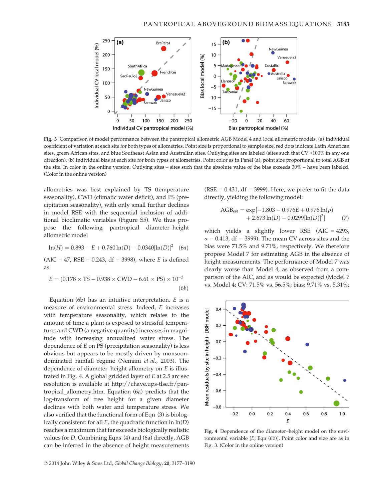

Fig. 3 Comparison of model performance between the pantropical allometric AGB Model 4 and local allometric models. (a) Individual coefficient of variation at each site for both types of allometries. Point size is proportional to sample size, red dots indicate Latin American sites, green African sites, and blue Southeast Asian and Australian sites. Outlying sites are labeled (sites such that CV >100% in any one direction). (b) Individual bias at each site for both types of allometries. Point color as in Panel (a), point size proportional to total AGB at the site. In color in the online version. Outlying sites – sites such that the absolute value of the bias exceeds 30% – have been labeled. (Color in the online version)

allometries was best explained by TS (temperature seasonality), CWD (climatic water deficit), and PS (precipitation seasonality), with only small further declines in model RSE with the sequential inclusion of additional bioclimatic variables (Figure S5). We thus propose the following pantropical diameter–height allometric model

$$
\ln(H) = 0.893 - E + 0.760 \ln(D) - 0.0340[\ln(D)]^2
$$
 (6*a*)

 $(AIC = 47, RSE = 0.243, df = 3998)$ , where *E* is defined as

$$
E = (0.178 \times \text{TS} - 0.938 \times \text{CWD} - 6.61 \times \text{PS}) \times 10^{-3}
$$
\n
$$
(6b)
$$

Equation (6b) has an intuitive interpretation.  $E$  is a measure of environmental stress. Indeed, E increases with temperature seasonality, which relates to the amount of time a plant is exposed to stressful temperature, and CWD (a negative quantity) increases in magnitude with increasing annualized water stress. The dependence of E on PS (precipitation seasonality) is less obvious but appears to be mostly driven by monsoondominated rainfall regime (Nemani et al., 2003). The dependence of diameter–height allometry on E is illustrated in Fig. 4. A global gridded layer of E at 2.5 arc sec resolution is available at http://chave.ups-tlse.fr/pantropical\_allometry.htm. Equation (6a) predicts that the log-transform of tree height for a given diameter declines with both water and temperature stress. We also verified that the functional form of Eqn (3) is biologically consistent: for all  $E$ , the quadratic function in  $ln(D)$ reaches a maximum that far exceeds biologically realistic values for D. Combining Eqns (4) and (6a) directly, AGB can be inferred in the absence of height measurements (RSE =  $0.431$ , df = 3999). Here, we prefer to fit the data directly, yielding the following model:

$$
\begin{aligned} \text{AGB}_{\text{est}} &= \exp[-1.803 - 0.976E + 0.976\ln(\rho) \\ &+ 2.673\ln(D) - 0.0299[\ln(D)]^2] \end{aligned} \tag{7}
$$

which yields a slightly lower RSE (AIC = 4293,  $\sigma$  = 0.413, df = 3999). The mean CV across sites and the bias were 71.5% and 9.71%, respectively. We therefore propose Model 7 for estimating AGB in the absence of height measurements. The performance of Model 7 was clearly worse than Model 4, as observed from a comparison of the AIC, and as would be expected (Model 7 vs. Model 4; CV: 71.5% vs. 56.5%; bias: 9.71% vs. 5.31%;



Fig. 4 Dependence of the diameter–height model on the environmental variable [E; Eqn (6b)]. Point color and size are as in Fig. 3. (Color in the online version)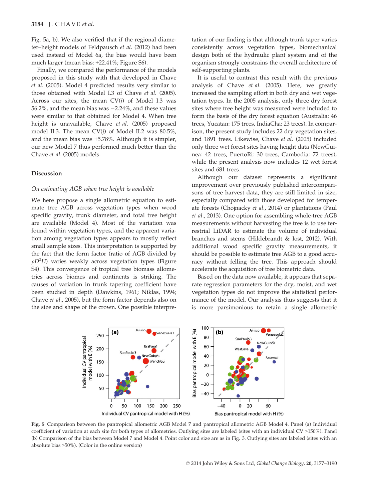Fig. 5a, b). We also verified that if the regional diameter–height models of Feldpausch et al. (2012) had been used instead of Model 6a, the bias would have been much larger (mean bias: +22.41%; Figure S6).

Finally, we compared the performance of the models proposed in this study with that developed in Chave et al. (2005). Model 4 predicted results very similar to those obtained with Model I.3 of Chave et al. (2005). Across our sites, the mean  $CV(j)$  of Model I.3 was 56.2%, and the mean bias was -2.24%, and these values were similar to that obtained for Model 4. When tree height is unavailable, Chave et al. (2005) proposed model II.3. The mean CV(j) of Model II.2 was 80.5%, and the mean bias was +5.78%. Although it is simpler, our new Model 7 thus performed much better than the Chave et al. (2005) models.

## Discussion

#### On estimating AGB when tree height is available

We here propose a single allometric equation to estimate tree AGB across vegetation types when wood specific gravity, trunk diameter, and total tree height are available (Model 4). Most of the variation was found within vegetation types, and the apparent variation among vegetation types appears to mostly reflect small sample sizes. This interpretation is supported by the fact that the form factor (ratio of AGB divided by  $\rho D^2 H$ ) varies weakly across vegetation types (Figure S4). This convergence of tropical tree biomass allometries across biomes and continents is striking. The causes of variation in trunk tapering coefficient have been studied in depth (Dawkins, 1961; Niklas, 1994; Chave et al., 2005), but the form factor depends also on the size and shape of the crown. One possible interpretation of our finding is that although trunk taper varies consistently across vegetation types, biomechanical design both of the hydraulic plant system and of the organism strongly constrains the overall architecture of self-supporting plants.

It is useful to contrast this result with the previous analysis of Chave et al. (2005). Here, we greatly increased the sampling effort in both dry and wet vegetation types. In the 2005 analysis, only three dry forest sites where tree height was measured were included to form the basis of the dry forest equation (Australia: 46 trees, Yucatan: 175 trees, IndiaCha: 23 trees). In comparison, the present study includes 22 dry vegetation sites, and 1891 trees. Likewise, Chave et al. (2005) included only three wet forest sites having height data (NewGuinea: 42 trees, PuertoRi: 30 trees, Cambodia: 72 trees), while the present analysis now includes 12 wet forest sites and 681 trees.

Although our dataset represents a significant improvement over previously published intercomparisons of tree harvest data, they are still limited in size, especially compared with those developed for temperate forests (Chojnacky et al., 2014) or plantations (Paul et al., 2013). One option for assembling whole-tree AGB measurements without harvesting the tree is to use terrestrial LiDAR to estimate the volume of individual branches and stems (Hildebrandt & Iost, 2012). With additional wood specific gravity measurements, it should be possible to estimate tree AGB to a good accuracy without felling the tree. This approach should accelerate the acquisition of tree biometric data.

Based on the data now available, it appears that separate regression parameters for the dry, moist, and wet vegetation types do not improve the statistical performance of the model. Our analysis thus suggests that it is more parsimonious to retain a single allometric



Fig. 5 Comparison between the pantropical allometric AGB Model 7 and pantropical allometric AGB Model 4. Panel (a) Individual coefficient of variation at each site for both types of allometries. Outlying sites are labeled (sites with an individual CV >150%). Panel (b) Comparison of the bias between Model 7 and Model 4. Point color and size are as in Fig. 3. Outlying sites are labeled (sites with an absolute bias >50%). (Color in the online version)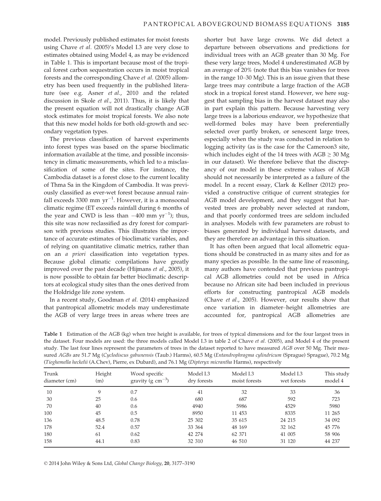model. Previously published estimates for moist forests using Chave et al. (2005)'s Model I.3 are very close to estimates obtained using Model 4, as may be evidenced in Table 1. This is important because most of the tropical forest carbon sequestration occurs in moist tropical forests and the corresponding Chave et al. (2005) allometry has been used frequently in the published literature (see e.g. Asner et al., 2010 and the related discussion in Skole et al., 2011). Thus, it is likely that the present equation will not drastically change AGB stock estimates for moist tropical forests. We also note that this new model holds for both old-growth and secondary vegetation types.

The previous classification of harvest experiments into forest types was based on the sparse bioclimatic information available at the time, and possible inconsistency in climatic measurements, which led to a misclassification of some of the sites. For instance, the Cambodia dataset is a forest close to the current locality of Thma Sa in the Kingdom of Cambodia. It was previously classified as ever-wet forest because annual rainfall exceeds 3300 mm  $\rm{yr}^{-1}$ . However, it is a monsoonal climatic regime (ET exceeds rainfall during 6 months of the year and CWD is less than  $-400$  mm  $yr^{-1}$ ; thus,<br>this site was now reclassified as dry forest for compari this site was now reclassified as dry forest for comparison with previous studies. This illustrates the importance of accurate estimates of bioclimatic variables, and of relying on quantitative climatic metrics, rather than on an a priori classification into vegetation types. Because global climatic compilations have greatly improved over the past decade (Hijmans et al., 2005), it is now possible to obtain far better bioclimatic descriptors at ecological study sites than the ones derived from the Holdridge life zone system.

In a recent study, Goodman et al. (2014) emphasized that pantropical allometric models may underestimate the AGB of very large trees in areas where trees are shorter but have large crowns. We did detect a departure between observations and predictions for individual trees with an AGB greater than 30 Mg. For these very large trees, Model 4 underestimated AGB by an average of 20% (note that this bias vanishes for trees in the range 10–30 Mg). This is an issue given that these large trees may contribute a large fraction of the AGB stock in a tropical forest stand. However, we here suggest that sampling bias in the harvest dataset may also in part explain this pattern. Because harvesting very large trees is a laborious endeavor, we hypothesize that well-formed boles may have been preferentially selected over partly broken, or senescent large trees, especially when the study was conducted in relation to logging activity (as is the case for the Cameroon3 site, which includes eight of the 14 trees with  $AGB \geq 30$  Mg in our dataset). We therefore believe that the discrepancy of our model in these extreme values of AGB should not necessarily be interpreted as a failure of the model. In a recent essay, Clark & Kellner (2012) provided a constructive critique of current strategies for AGB model development, and they suggest that harvested trees are probably never selected at random, and that poorly conformed trees are seldom included in analyses. Models with few parameters are robust to biases generated by individual harvest datasets, and they are therefore an advantage in this situation.

It has often been argued that local allometric equations should be constructed in as many sites and for as many species as possible. In the same line of reasoning, many authors have contended that previous pantropical AGB allometries could not be used in Africa because no African site had been included in previous efforts for constructing pantropical AGB models (Chave et al., 2005). However, our results show that once variation in diameter–height allometries are accounted for, pantropical AGB allometries are

Table 1 Estimation of the AGB (kg) when tree height is available, for trees of typical dimensions and for the four largest trees in the dataset. Four models are used: the three models called Model I.3 in table 2 of Chave et al. (2005), and Model 4 of the present study. The last four lines represent the parameters of trees in the dataset reported to have measured AGB over 50 Mg. Their measured AGBs are 51.7 Mg (Cyclodiscus gabunensis (Taub.) Harms), 60.5 Mg (Entandrophragma cylindricum (Sprague) Sprague), 70.2 Mg (Tieghemella heckelii (A.Chev), Pierre, ex Dubard), and 76.1 Mg (Dipteryx micrantha Harms), respectively

| Trunk<br>diameter (cm) | Height<br>(m) | Wood specific<br>gravity (g $\rm cm^{-3}$ ) | Model I.3<br>dry forests | Model I.3<br>moist forests | Model I.3<br>wet forests | This study<br>model 4 |
|------------------------|---------------|---------------------------------------------|--------------------------|----------------------------|--------------------------|-----------------------|
| 10                     | 9             | 0.7                                         | 41                       | 32                         | 33                       | 36                    |
| 30                     | 25            | 0.6                                         | 680                      | 687                        | 592                      | 723                   |
| 70                     | 40            | 0.6                                         | 4940                     | 5986                       | 4529                     | 5980                  |
| 100                    | 45            | 0.5                                         | 8950                     | 11 453                     | 8335                     | 11 265                |
| 136                    | 48.5          | 0.78                                        | 25 302                   | 35 615                     | 24 215                   | 34 092                |
| 178                    | 52.4          | 0.57                                        | 33 364                   | 48 169                     | 32 162                   | 45 776                |
| 180                    | 61            | 0.62                                        | 42 274                   | 62 371                     | 41 005                   | 58 906                |
| 158                    | 44.1          | 0.83                                        | 32 310                   | 46 510                     | 31 120                   | 44 237                |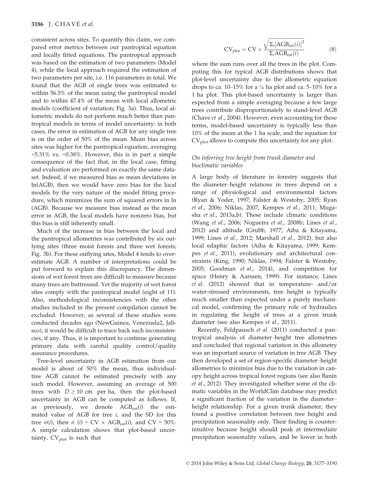consistent across sites. To quantify this claim, we compared error metrics between our pantropical equation and locally fitted equations. The pantropical approach was based on the estimation of two parameters (Model 4), while the local approach required the estimation of two parameters per site, i.e. 116 parameters in total. We found that the AGB of single trees was estimated to within 56.5% of the mean using the pantropical model and to within 47.4% of the mean with local allometric models (coefficient of variation; Fig. 3a). Thus, local allometric models do not perform much better than pantropical models in terms of model uncertainty: in both cases, the error in estimation of AGB for any single tree is on the order of 50% of the mean. Mean bias across sites was higher for the pantropical equation, averaging +5.31% vs. +0.38%. However, this is in part a simple consequence of the fact that, in the local case, fitting and evaluation are performed on exactly the same dataset. Indeed, if we measured bias as mean deviations in ln(AGB), then we would have zero bias for the local models by the very nature of the model fitting procedure, which minimizes the sum of squared errors in ln (AGB). Because we measure bias instead as the mean error in AGB, the local models have nonzero bias, but this bias is still inherently small.

Much of the increase in bias between the local and the pantropical allometries was contributed by six outlying sites (three moist forests and three wet forests; Fig. 3b). For these outlying sites, Model 4 tends to overestimate AGB. A number of interpretations could be put forward to explain this discrepancy. The dimensions of wet forest trees are difficult to measure because many trees are buttressed. Yet the majority of wet forest sites comply with the pantropical model (eight of 11). Also, methodological inconsistencies with the other studies included in the present compilation cannot be excluded. However, as several of these studies were conducted decades ago (NewGuinea, Venezuela2, Jalisco), it would be difficult to trace back such inconsistencies, if any. Thus, it is important to continue generating primary data with careful quality control/quality assurance procedures.

Tree-level uncertainty in AGB estimation from our model is about of 50% the mean, thus individualtree AGB cannot be estimated precisely with any such model. However, assuming an average of 500 trees with  $D \ge 10$  cm per ha, then the plot-based uncertainty in AGB can be computed as follows. If, as previously, we denote  $AGB_{est}(i)$  the estimated value of AGB for tree  $i$ , and the SD for this tree  $\sigma(i)$ , then  $\sigma(i) = CV \times AGB_{est}(i)$ , and  $CV = 50\%$ . A simple calculation shows that plot-based uncertainty,  $CV<sub>plot</sub>$  is such that

$$
CV_{plot} = CV \times \frac{\sqrt{\Sigma_i [AGB_{est}(i)]^2}}{\Sigma_i AGB_{est}(i)}
$$
(8)

where the sum runs over all the trees in the plot. Computing this for typical AGB distributions shows that plot-level uncertainty due to the allometric equation drops to ca. 10–15% for a  $\frac{1}{4}$  ha plot and ca. 5–10% for a 1 ha plot. This plot-based uncertainty is larger than expected from a simple averaging because a few large trees contribute disproportionately to stand-level AGB (Chave et al., 2004). However, even accounting for these terms, model-based uncertainty is typically less than 10% of the mean at the 1 ha scale, and the equation for CV<sub>plot</sub> allows to compute this uncertainty for any plot.

# On inferring tree height from trunk diameter and bioclimatic variables

A large body of literature in forestry suggests that the diameter–height relations in trees depend on a range of physiological and environmental factors (Ryan & Yoder, 1997; Falster & Westoby, 2005; Ryan et al., 2006; Niklas, 2007; Kempes et al., 2011; Mugasha et al., 2013a,b). These include climatic conditions (Wang et al., 2006; Nogueira et al., 2008b; Lines et al., 2012) and altitude (Grubb, 1977; Aiba & Kitayama, 1999; Lines et al., 2012; Marshall et al., 2012), but also local edaphic factors (Aiba & Kitayama, 1999; Kempes et al., 2011), evolutionary and architectural constraints (King, 1990; Niklas, 1994; Falster & Westoby, 2005; Goodman et al., 2014), and competition for space (Henry & Aarssen, 1999). For instance, Lines et al. (2012) showed that in temperature- and/or water-stressed environments, tree height is typically much smaller than expected under a purely mechanical model, confirming the primary role of hydraulics in regulating the height of trees at a given trunk diameter (see also Kempes et al., 2011).

Recently, Feldpausch et al. (2011) conducted a pantropical analysis of diameter–height tree allometries and concluded that regional variation in this allometry was an important source of variation in tree AGB. They then developed a set of region-specific diameter–height allometries to minimize bias due to the variation in canopy height across tropical forest regions (see also Banin et al., 2012). They investigated whether some of the climatic variables in the WorldClim database may predict a significant fraction of the variation in the diameter– height relationship. For a given trunk diameter, they found a positive correlation between tree height and precipitation seasonality only. Their finding is counterintuitive because height should peak at intermediate precipitation seasonality values, and be lower in both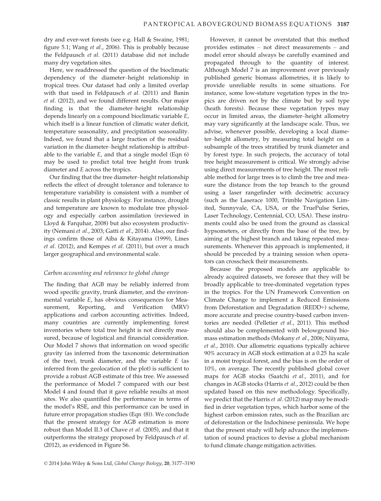dry and ever-wet forests (see e.g. Hall & Swaine, 1981; figure 5.1; Wang et al., 2006). This is probably because the Feldpausch et al. (2011) database did not include many dry vegetation sites.

Here, we readdressed the question of the bioclimatic dependency of the diameter–height relationship in tropical trees. Our dataset had only a limited overlap with that used in Feldpausch et al. (2011) and Banin et al. (2012), and we found different results. Our major finding is that the diameter–height relationship depends linearly on a compound bioclimatic variable E, which itself is a linear function of climatic water deficit, temperature seasonality, and precipitation seasonality. Indeed, we found that a large fraction of the residual variation in the diameter–height relationship is attributable to the variable  $E$ , and that a single model (Eqn 6) may be used to predict total tree height from trunk diameter and E across the tropics.

Our finding that the tree diameter–height relationship reflects the effect of drought tolerance and tolerance to temperature variability is consistent with a number of classic results in plant physiology. For instance, drought and temperature are known to modulate tree physiology and especially carbon assimilation (reviewed in Lloyd & Farquhar, 2008) but also ecosystem productivity (Nemani et al., 2003; Gatti et al., 2014). Also, our findings confirm those of Aiba & Kitayama (1999), Lines et al. (2012), and Kempes et al. (2011), but over a much larger geographical and environmental scale.

#### Carbon accounting and relevance to global change

The finding that AGB may be reliably inferred from wood specific gravity, trunk diameter, and the environmental variable E, has obvious consequences for Measurement, Reporting, and Verification (MRV) applications and carbon accounting activities. Indeed, many countries are currently implementing forest inventories where total tree height is not directly measured, because of logistical and financial consideration. Our Model 7 shows that information on wood specific gravity (as inferred from the taxonomic determination of the tree), trunk diameter, and the variable E (as inferred from the geolocation of the plot) is sufficient to provide a robust AGB estimate of this tree. We assessed the performance of Model 7 compared with our best Model 4 and found that it gave reliable results at most sites. We also quantified the performance in terms of the model's RSE, and this performance can be used in future error propagation studies (Eqn (8)). We conclude that the present strategy for AGB estimation is more robust than Model II.3 of Chave et al. (2005), and that it outperforms the strategy proposed by Feldpausch et al. (2012), as evidenced in Figure S6.

However, it cannot be overstated that this method provides estimates – not direct measurements – and model error should always be carefully examined and propagated through to the quantity of interest. Although Model 7 is an improvement over previously published generic biomass allometries, it is likely to provide unreliable results in some situations. For instance, some low-stature vegetation types in the tropics are driven not by the climate but by soil type (heath forests). Because these vegetation types may occur in limited areas, the diameter–height allometry may vary significantly at the landscape scale. Thus, we advise, whenever possible, developing a local diameter–height allometry, by measuring total height on a subsample of the trees stratified by trunk diameter and by forest type. In such projects, the accuracy of total tree height measurement is critical. We strongly advise using direct measurements of tree height. The most reliable method for large trees is to climb the tree and measure the distance from the top branch to the ground using a laser rangefinder with decimetric accuracy (such as the Laserace 1000, Trimble Navigation Limited, Sunnyvale, CA, USA, or the TruePulse Series, Laser Technology, Centennial, CO, USA). These instruments could also be used from the ground as classical hypsometers, or directly from the base of the tree, by aiming at the highest branch and taking repeated measurements. Whenever this approach is implemented, it should be preceded by a training session when operators can crosscheck their measurements.

Because the proposed models are applicable to already acquired datasets, we foresee that they will be broadly applicable to tree-dominated vegetation types in the tropics. For the UN Framework Convention on Climate Change to implement a Reduced Emissions from Deforestation and Degradation (REDD+) scheme, more accurate and precise country-based carbon inventories are needed (Pelletier et al., 2011). This method should also be complemented with belowground biomass estimation methods (Mokany et al., 2006; Niiyama, et al., 2010). Our allometric equations typically achieve 90% accuracy in AGB stock estimation at a 0.25 ha scale in a moist tropical forest, and the bias is on the order of 10%, on average. The recently published global cover maps for AGB stocks (Saatchi et al., 2011), and for changes in AGB stocks (Harris et al., 2012) could be then updated based on this new methodology. Specifically, we predict that the Harris et al. (2012) map may be modified in drier vegetation types, which harbor some of the highest carbon emission rates, such as the Brazilian arc of deforestation or the Indochinese peninsula. We hope that the present study will help advance the implementation of sound practices to devise a global mechanism to fund climate change mitigation activities.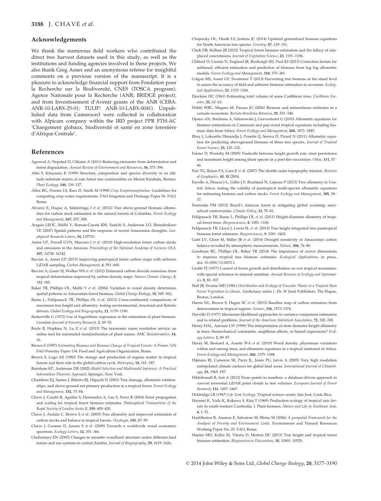#### Acknowledgements

We thank the numerous field workers who contributed the direct tree harvest datasets used in this study, as well as the institutions and funding agencies involved in these projects. We also thank Greg Asner and an anonymous referee for insightful comments on a previous version of the manuscript. It is a pleasure to acknowledge financial support from Fondation pour la Recherche sur la Biodiversité, CNES (TOSCA program), Agence Nationale pour la Recherche (ANR; BRIDGE project), and from Investissement d'Avenir grants of the ANR (CEBA: ANR-10-LABX-25-01; TULIP: ANR-10-LABX-0041). Unpublished data from Cameroon3 were collected in collaboration with Alpicam company within the IRD project PPR FTH-AC 'Changement globaux, biodiversité et santé en zone forestière d'Afrique Centrale'.

#### References

- Agrawal A, Nepstad D, Chhatre A (2011) Reducing emissions from deforestation and forest degradation. Annual Review of Environment and Resources, 36, 373–396.
- Aiba S, Kitayama K (1999) Structure, composition and species diversity in an altitude-substrate matrix of rain forest tree communities on Mount Kinabalu, Borneo. Plant Ecology, 140, 139–157.
- Allen RG, Pereira LS, Raes D, Smith M (1998) Crop Evapotranspiration. Guidelines for computing crop water requirements. FAO Irrigation and Drainage Paper 56. FAO, Rome.
- Alvarez E, Duque A, Saldarriaga J et al. (2012) Tree above-ground biomass allometries for carbon stock estimation in the natural forests of Colombia. Forest Ecology and Management, 267, 297–308.
- Aragão LEOC, Malhi Y, Roman-Cuesta RM, Saatchi S, Anderson LO, Shimabukuro YE (2007) Spatial patterns and fire response of recent Amazonian droughts. Geophysical Research Letters, 34, L07701.
- Asner GP, Powell GVN, Mascaro J et al. (2010) High-resolution forest carbon stocks and emissions in the Amazon. Proceedings of the National Academy of Sciences USA, 107, 16738–16742.
- Baccini A, Asner GP (2013) Improving pantropical forest carbon maps with airborne LiDAR sampling. Carbon Management, 4, 591–600.
- Baccini A, Goetz SJ, Walker WS et al. (2012) Estimated carbon dioxide emissions from tropical deforestation improved by carbon-density maps. Nature Climate Change, 2, 182–185.
- Baker TR, Phillips OL, Malhi Y et al. (2004) Variation in wood density determines spatial patterns in Amazonian forest biomass. Global Change Biology, 10, 545–562.
- Banin L, Feldpausch TR, Phillips OL et al. (2012) Cross-continental comparisons of maximum tree height and allometry: testing environmental, structural and floristic drivers. Global Ecology and Biogeography, 21, 1179–1190.
- Baskerville G (1972) Use of logarithmic regression in the estimation of plant biomass. Canadian Journal of Forestry Research, 2, 49–53.
- Boyle B, Hopkins N, Lu Z et al. (2013) The taxonomic name resolution service: an online tool for automated standardization of plant names. BMC Bioinformatics, 14, 16.
- Brown S (1997) Estimating Biomass and Biomass Change of Tropical Forests: A Primer. UN FAO Forestry Paper 134. Food and Agriculture Organization, Rome.
- Brown S, Lugo AE (1982) The storage and production of organic matter in tropical forests and their role in the global carbon cycle. Biotropica, 14, 161–187.
- Burnham KP, Anderson DR (2002) Model Selection and Multimodel Inference: A Practical Information-Theoretic Approach. Springer, New York.
- Chambers JQ, Santos J, Ribeiro RJ, Higuchi N (2001) Tree damage, allometric relationships, and above-ground net primary production in a tropical forest. Forest Ecology and Management, 152, 73–84.
- Chave J, Condit R, Aguilar S, Hernandez A, Lao S, Perez R (2004) Error propagation and scaling for tropical forest biomass estimates. Philosophical Transactions of the Royal Society of London Series B, 359, 409–420.
- Chave J, Andalo C, Brown S et al. (2005) Tree allometry and improved estimation of carbon stocks and balance in tropical forests. Oecologia, 145, 87–99.
- Chave J, Coomes D, Jansen S et al. (2009) Towards a worldwide wood economics spectrum. Ecology Letters, 12, 351–366.
- Chidumayo EN (2002) Changes in miombo woodland structure under different land tenure and use systems in central Zambia. Journal of Biogeography, 29, 1619–1626.
- Chojnacky DC, Heath LS, Jenkins JC (2014) Updated generalized biomass equations for North American tree species. Forestry, 87, 129–151.
- Clark DB, Kellner JR (2012) Tropical forest biomass estimation and the fallacy of misplaced concreteness. Journal of Vegetation Science, 23, 1191–1196.
- Clifford D, Cressie N, England JR, Roxburgh SH, Paul KI (2013) Correction factors for unbiased, efficient estimation and prediction of biomass from log–log allometric models. Forest Ecology and Management, 310, 375–381.
- Colgan MS, Asner GP, Swemmer T (2013) Harvesting tree biomass at the stand level to assess the accuracy of field and airborne biomass estimation in savannas. Ecological Applications, 23, 1170–1184.
- Dawkins HC (1961) Estimating total volume of some Caribbean trees. Caribbean Forester, 22, 62–63.
- Delitti WBC, Meguro M, Pausas JG (2006) Biomass and mineralmass estimates in a cerrado ecosystem. Revista Brasileira Botanica, 29, 531–540.
- Djomo AN, Ibrahima A, Saborowski J, Gravenhorst G (2010) Allometric equations for biomass estimations in Cameroon and pan moist tropical equations including biomass data from Africa. Forest Ecology and Management, 260, 1873–1885.
- Ebuy J, Lokombe Dimandja J, Ponette Q, Sonwa D, Picard N (2011) Allometric equation for predicting aboveground biomass of three tree species. Journal of Tropical Forest Science, 23, 125–132.
- Falster D, Westoby M (2005) Tradeoffs between height growth rate, stem persistence and maximum height among plant species in a post-fire succession. Oikos, 111, 57– 66.
- Farr TG, Rosen PA, Caro E et al. (2007) The shuttle radar topography mission. Reviews of Geophysics, 45, RG2004.
- Fayolle A, Doucet J-L, Gillet J-F, Bourland N, Lejeune P (2013) Tree allometry in Central Africa: testing the validity of pantropical multi-species allometric equations for estimating biomass and carbon stocks. Forest Ecology and Management, 305, 29– 37.
- Fearnside PM (2012) Brazil's Amazon forest in mitigating global warming: unresolved controversies. Climate Policy, 12, 70–81.
- Feldpausch TR, Banin L, Phillips OL et al. (2011) Height-diameter allometry of tropical forest trees. Biogeosciences, 8, 1081–1106.
- Feldpausch TR, Lloyd J, Lewis SL et al. (2012) Tree height integrated into pantropical biomass forest estimates. Biogeosciences, 9, 3381–3403.
- Gatti LV, Gloor M, Miller JB et al. (2014) Drought sensitivity of Amazonian carbon balance revealed by atmospheric measurements. Nature, 506, 76–80.
- Goodman RC, Phillips OL, Baker TR (2014) The importance of crown dimensions to improve tropical tree biomass estimates. Ecological Applications, in press, doi: 10.1890/13-0070.1.
- Grubb PJ (1977) Control of forest growth and distribution on wet tropical mountains: with special reference to mineral nutrition. Annual Reviews of Ecology and Systematics, 8, 83–107.
- Hall JB, Swaine MD (1981) Distribution and Ecology of Vascular Plants in a Tropical Rain Forest Vegetation in Ghana.. Geobotany series 1. Dr. W Junk Publishers, The Hague, Boston, London.
- Harris NL, Brown S, Hagen SC et al. (2012) Baseline map of carbon emissions from deforestation in tropical regions. Science, 336, 1573–1576.
- Harville D (1977) Maximum-likelihood approaches to variance-component estimation and to related problems. Journal of the American Statistical Association, 72, 320-338.
- Henry HAL, Aarssen LW (1999) The interpretation of stem diameter-height allometry in trees: biomechanical constraints, neighbour effects, or biased regressions? Ecology Letters, 2, 89–97.
- Henry M, Besnard A, Asante WA et al. (2010) Wood density, phytomass variations within and among trees, and allometric equations in a tropical rainforest of Africa. Forest Ecology and Management, 260, 1375–1388.
- Hijmans RJ, Cameron SE, Parra JL, Jones PG, Jarvis A (2005) Very high resolution interpolated climate surfaces for global land areas. International Journal of Climatology, 25, 1965–197.
- Hildebrandt R, Iost A (2012) From points to numbers: a database-driven approach to convert terrestrial LiDAR point clouds to tree volumes. European Journal of Forest Research, 131, 1857–1867.
- Holdridge LR (1967) Life Zone Ecology. Tropical science center, San Jose, Costa Rica.
- Hozumi K, Yoda K, Kokawa S, Kira T (1969) Production ecology of tropical rain forests in south-western Cambodia. I. Plant biomass. Nature and Life in Southeast Asia, 6, 1–51.
- Huddleston B, Ataman E, Salvatore M, Bloise M (2006) A geospatial Framework for the Analysis of Poverty and Environment Links. Environment and Natural Resources Working Paper No. 25. FAO, Rome.
- Hunter MO, Keller M, Vitoria D, Morton DC (2013) Tree height and tropical forest biomass estimation. Biogeosciences Discussions, 10, 10491–10529.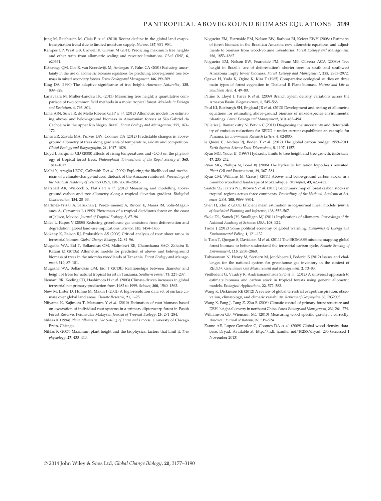- Jung M, Reichstein M, Ciais P et al. (2010) Recent decline in the global land evapotranspiration trend due to limited moisture supply. Nature, 467, 951–954.
- Kempes CP, West GB, Crowell K, Girvan M (2011) Predicting maximum tree heights and other traits from allometric scaling and resource limitations. PLoS ONE, 6, e20551.
- Ketterings QM, Coe R, van Noordwijk M, Ambagau Y, Palm CA (2001) Reducing uncertainty in the use of allometric biomass equations for predicting above-ground tree biomass in mixed secondary forests. Forest Ecology and Management, 146, 199–209.
- King DA (1990) The adaptive significance of tree height. American Naturalist, 135, 809–828.
- Larjavaara M, Muller-Landau HC (2013) Measuring tree height: a quantitative comparison of two common field methods in a moist tropical forest. Methods in Ecology and Evolution, 4, 793–801.
- Lima AJN, Suwa R, de Mello Ribeiro GHP et al. (2012) Allometric models for estimating above- and below-ground biomass in Amazonian forests at São Gabriel da Cachoeira in the upper Rio Negro, Brazil. Forest Ecology and Management, 277, 163– 172.
- Lines ER, Zavala MA, Purves DW, Coomes DA (2012) Predictable changes in aboveground allometry of trees along gradients of temperature, aridity and competition. Global Ecology and Biogeography, 21, 1017–1028.
- Lloyd J, Farquhar GD (2008) Effects of rising temperatures and  $(CO<sub>2</sub>)$  on the physiology of tropical forest trees. Philosophical Transactions of the Royal Society B, 363, 1811–1817.
- Malhi Y, Aragão LEOC, Galbraith D et al. (2009) Exploring the likelihood and mechanism of a climate-change-induced dieback of the Amazon rainforest. Proceedings of the National Academy of Sciences USA, 106, 20610–20615.
- Marshall AR, Willcock S, Platts PJ et al. (2012) Measuring and modelling aboveground carbon and tree allometry along a tropical elevation gradient. Biological Conservation, 154, 20–33.
- Martinez-Yrizar A, Sarukhan J, Perez-Jimenez A, Rincon E, Maass JM, Solis-Magallanes A, Cervantes L (1992) Phytomass of a tropical deciduous forest on the coast of Jalisco, Mexico. Journal of Tropical Ecology, 8, 87–96.
- Miles L, Kapos V (2008) Reducing greenhouse gas emissions from deforestation and degradation: global land-use implications. Science, 320, 1454–1455.
- Mokany K, Raison RJ, Prokushkin AS (2006) Critical analysis of root: shoot ratios in terrestrial biomes. Global Change Biology, 12, 84–96.
- Mugasha WA, Eid T, Bollandsas OM, Malimbwi RE, Chamshama SAO, Zahabu E, Katani JZ (2013a) Allometric models for prediction of above- and belowground biomass of trees in the miombo woodlands of Tanzania. Forest Ecology and Management, 310, 87–101.
- Mugasha WA, Bollandsås OM, Eid T (2013b) Relationships between diameter and height of trees for natural tropical forest in Tanzania. Southern Forest, 75, 221–237.
- Nemani RR, Keeling CD, Hashimoto H et al. (2003) Climate-driven increases in global terrestrial net primary production from 1982 to 1999. Science, 300, 1560–1563.
- New M, Lister D, Hulme M, Makin I (2002) A high-resolution data set of surface climate over global land areas. Climate Research, 21, 1–25.
- Niiyama K, Kajimoto T, Matsuura Y et al. (2010) Estimation of root biomass based on excavation of individual root systems in a primary dipterocarp forest in Pasoh Forest Reserve, Peninsular Malaysia. Journal of Tropical Ecology, 26, 271–284.
- Niklas K (1994) Plant Allometry: The Scaling of Form and Process. Universty of Chicago Press, Chicago.
- Niklas K (2007) Maximum plant height and the biophysical factors that limit it. Tree physiology, 27, 433–440.
- Nogueira EM, Fearnside PM, Nelson BW, Barbosa RI, Keizer EWH (2008a) Estimates of forest biomass in the Brazilian Amazon: new allometric equations and adjustments to biomass from wood-volume inventories. Forest Ecology and Management, 256, 1853–1867.
- Nogueira EM, Nelson BW, Fearnside PM, Franc MB, Oliveira ACA (2008b) Tree height in Brazil's 'arc of deforestation': shorter trees in south and southwest Amazonia imply lower biomass. Forest Ecology and Management, 255, 2963–2972.
- Ogawa H, Yoda K, Ogino K, Kira T (1965) Comparative ecological studies on three main types of forest vegetation in Thailand II Plant biomass. Nature and Life in Southeast Asia, 4, 49–80.
- Patiño S, Lloyd J, Paiva R et al. (2009) Branch xylem density variations across the Amazon Basin. Biogeosciences, 6, 545–568.
- Paul KI, Roxburgh SH, England JR et al. (2013) Development and testing of allometric equations for estimating above-ground biomass of mixed-species environmental plantings. Forest Ecology and Management, 310, 483–494.
- Pelletier J, Ramankutty N, Potvin C (2011) Diagnosing the uncertainty and detectability of emission reductions for REDD + under current capabilities: an example for Panama. Environmental Research Letters, 6, 024005.
- le Quéré C, Andres RJ, Boden T et al. (2012) The global carbon budget 1959-2011. Earth System Science Data-Discussions, 5, 1107–1157.
- Ryan MG, Yoder BJ (1997) Hydraulic limits to tree height and tree growth. BioScience, 47, 235–242.
- Ryan MG, Phillips N, Bond BJ (2006) The hydraulic limitation hypothesis revisited. Plant Cell and Environment, 29, 367–381.
- Ryan CM, Williams M, Grace J (2011) Above- and belowground carbon stocks in a miombo woodland landscape of Mozambique. Biotropica, 43, 423–432.
- Saatchi SS, Harris NL, Brown S et al. (2011) Benchmark map of forest carbon stocks in tropical regions across three continents. Proceedings of the National Academy of Sciences USA, 108, 9899–9904.
- Shen H, Zhu Z (2008) Efficient mean estimation in log-normal linear models. Journal of Statistical Planning and Inference, 138, 552–567.
- Skole DL, Samek JH, Smalligan MJ (2011) Implications of allometry. Proceedings of the National Academy of Sciences USA, 108, E12.
- Tirole J (2012) Some political economy of global warming. Economics of Energy and Environmental Policy, 1, 121–132.
- le Toan T, Quegan S, Davidson M et al. (2011) The BIOMASS mission: mapping global forest biomass to better understand the terrestrial carbon cycle. Remote Sensing of Environment, 115, 2850–2860.
- Tulyasuwan N, Henry M, Secrieru M, Jonckheere I, Federici S (2012) Issues and challenges for the national system for greenhouse gas inventory in the context of REDD+. Greenhouse Gas Measurement and Management, 2, 73–83.
- Vieilledent G, Vaudry R, Andriamanohisoa SFD et al. (2012) A universal approach to estimate biomass and carbon stock in tropical forests using generic allometric models. Ecological Applications, 22, 572–583.
- Wang K, Dickinson RE (2012) A review of global terrestrial evapotranspiration: observation, climatology, and climatic variability. Reviews of Geophysics, 50, RG2005.
- Wang X, Fang J, Tang Z, Zhu B (2006) Climatic control of primary forest structure and DBH–height allometry in northeast China. Forest Ecology and Management, 234, 264–274.
- Williamson GB, Wiemann MC (2010) Measuring wood specific gravity... correctly. American Journal of Botany, 97, 519–524.
- Zanne AE, Lopez-Gonzalez G, Coomes DA et al. (2009) Global wood density database. Dryad. Available at: http://hdl. handle. net/10255/dryad, 235 (accessed 1 November 2013)